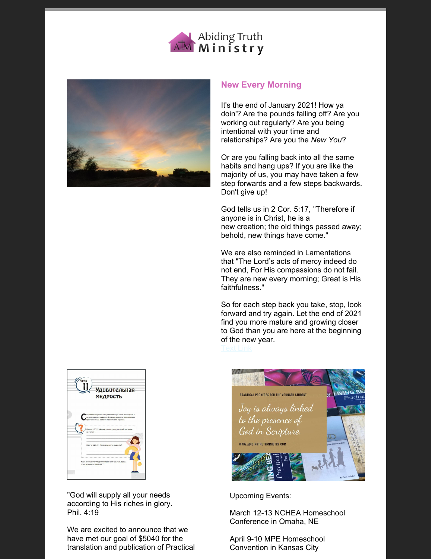



## **New Every Morning**

It's the end of January 2021! How ya doin'? Are the pounds falling off? Are you working out regularly? Are you being intentional with your time and relationships? Are you the *New You*?

Or are you falling back into all the same habits and hang ups? If you are like the majority of us, you may have taken a few step forwards and a few steps backwards. Don't give up!

God tells us in 2 Cor. 5:17, "Therefore if anyone is in Christ, he is a new creation; the old things passed away; behold, new things have come."

We are also reminded in Lamentations that "The Lord's acts of mercy indeed do not end, For His compassions do not fail. They are new every morning; Great is His faithfulness."

So for each step back you take, stop, look forward and try again. Let the end of 2021 find you more mature and growing closer to God than you are here at the beginning of the new year.



"God will supply all your needs according to His riches in glory. Phil. 4:19

We are excited to announce that we have met our goal of \$5040 for the translation and publication of Practical



Upcoming Events:

March 12-13 NCHEA Homeschool Conference in Omaha, NE

April 9-10 MPE Homeschool Convention in Kansas City